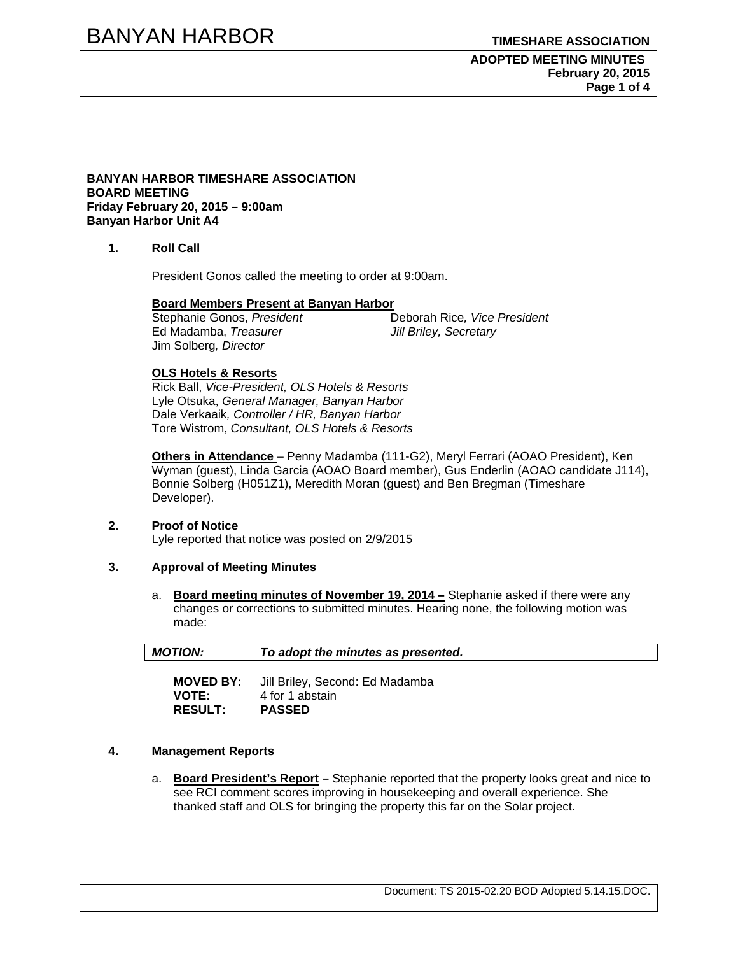# BANYAN HARBOR **TIMESHARE ASSOCIATION**

#### **ADOPTED MEETING MINUTES February 20, 2015 Page 1 of 4**

#### **BANYAN HARBOR TIMESHARE ASSOCIATION BOARD MEETING Friday February 20, 2015 – 9:00am Banyan Harbor Unit A4**

### **1. Roll Call**

President Gonos called the meeting to order at 9:00am.

# **Board Members Present at Banyan Harbor**

 $\overline{\text{Stephanie Gonos}, \text{President}}$ Ed Madamba, *Treasurer Jill Briley, Secretary* Jim Solberg*, Director*

#### **OLS Hotels & Resorts**

Rick Ball, *Vice-President, OLS Hotels & Resorts* Lyle Otsuka, *General Manager, Banyan Harbor*  Dale Verkaaik*, Controller / HR, Banyan Harbor*  Tore Wistrom, *Consultant, OLS Hotels & Resorts* 

**Others in Attendance** – Penny Madamba (111-G2), Meryl Ferrari (AOAO President), Ken Wyman (guest), Linda Garcia (AOAO Board member), Gus Enderlin (AOAO candidate J114), Bonnie Solberg (H051Z1), Meredith Moran (guest) and Ben Bregman (Timeshare Developer).

#### **2. Proof of Notice**

Lyle reported that notice was posted on 2/9/2015

#### **3. Approval of Meeting Minutes**

a. **Board meeting minutes of November 19, 2014 –** Stephanie asked if there were any changes or corrections to submitted minutes. Hearing none, the following motion was made:

| <b>MOTION:</b> | To adopt the minutes as presented. |
|----------------|------------------------------------|
|                |                                    |
| MOVED RY.      | Till Rriley, Second: Ed Madamba    |

**MOVED BY:** Jill Briley, Second: Ed Madamba **VOTE:** 4 for 1 abstain **RESULT: PASSED** 

# **4. Management Reports**

a. **Board President's Report –** Stephanie reported that the property looks great and nice to see RCI comment scores improving in housekeeping and overall experience. She thanked staff and OLS for bringing the property this far on the Solar project.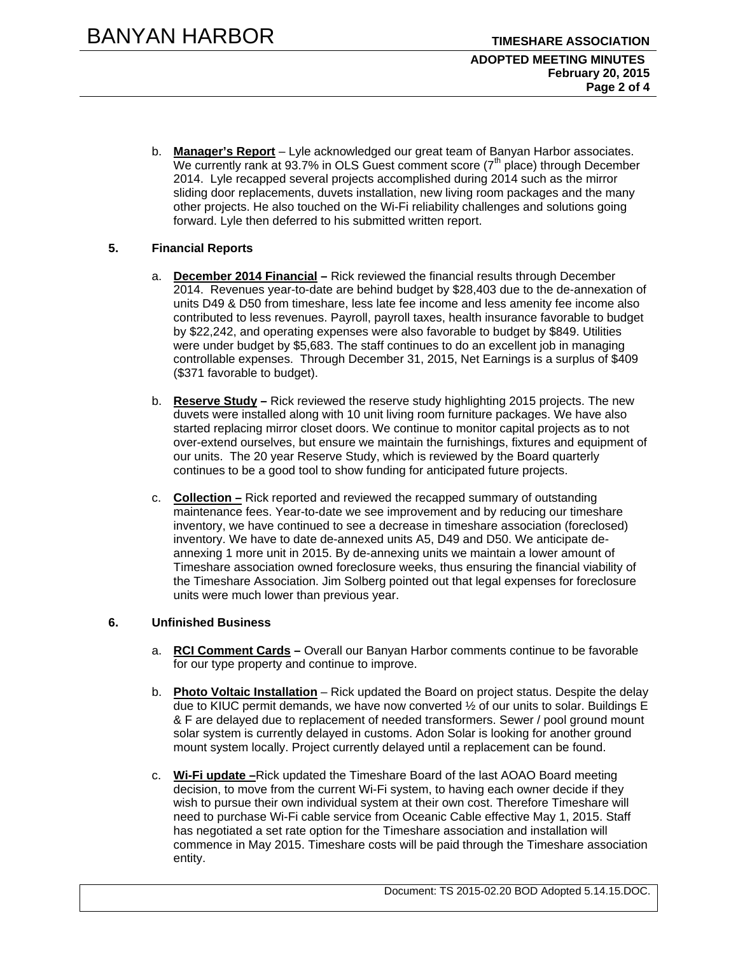b. **Manager's Report** – Lyle acknowledged our great team of Banyan Harbor associates. We currently rank at 93.7% in OLS Guest comment score  $(7<sup>th</sup>$  place) through December 2014. Lyle recapped several projects accomplished during 2014 such as the mirror sliding door replacements, duvets installation, new living room packages and the many other projects. He also touched on the Wi-Fi reliability challenges and solutions going forward. Lyle then deferred to his submitted written report.

# **5. Financial Reports**

- a. **December 2014 Financial –** Rick reviewed the financial results through December 2014. Revenues year-to-date are behind budget by \$28,403 due to the de-annexation of units D49 & D50 from timeshare, less late fee income and less amenity fee income also contributed to less revenues. Payroll, payroll taxes, health insurance favorable to budget by \$22,242, and operating expenses were also favorable to budget by \$849. Utilities were under budget by \$5,683. The staff continues to do an excellent job in managing controllable expenses. Through December 31, 2015, Net Earnings is a surplus of \$409 (\$371 favorable to budget).
- b. **Reserve Study –** Rick reviewed the reserve study highlighting 2015 projects. The new duvets were installed along with 10 unit living room furniture packages. We have also started replacing mirror closet doors. We continue to monitor capital projects as to not over-extend ourselves, but ensure we maintain the furnishings, fixtures and equipment of our units. The 20 year Reserve Study, which is reviewed by the Board quarterly continues to be a good tool to show funding for anticipated future projects.
- c. **Collection –** Rick reported and reviewed the recapped summary of outstanding maintenance fees. Year-to-date we see improvement and by reducing our timeshare inventory, we have continued to see a decrease in timeshare association (foreclosed) inventory. We have to date de-annexed units A5, D49 and D50. We anticipate deannexing 1 more unit in 2015. By de-annexing units we maintain a lower amount of Timeshare association owned foreclosure weeks, thus ensuring the financial viability of the Timeshare Association. Jim Solberg pointed out that legal expenses for foreclosure units were much lower than previous year.

# **6. Unfinished Business**

- a. **RCI Comment Cards** Overall our Banyan Harbor comments continue to be favorable for our type property and continue to improve.
- b. **Photo Voltaic Installation** Rick updated the Board on project status. Despite the delay due to KIUC permit demands, we have now converted ½ of our units to solar. Buildings E & F are delayed due to replacement of needed transformers. Sewer / pool ground mount solar system is currently delayed in customs. Adon Solar is looking for another ground mount system locally. Project currently delayed until a replacement can be found.
- c. **Wi-Fi update –**Rick updated the Timeshare Board of the last AOAO Board meeting decision, to move from the current Wi-Fi system, to having each owner decide if they wish to pursue their own individual system at their own cost. Therefore Timeshare will need to purchase Wi-Fi cable service from Oceanic Cable effective May 1, 2015. Staff has negotiated a set rate option for the Timeshare association and installation will commence in May 2015. Timeshare costs will be paid through the Timeshare association entity.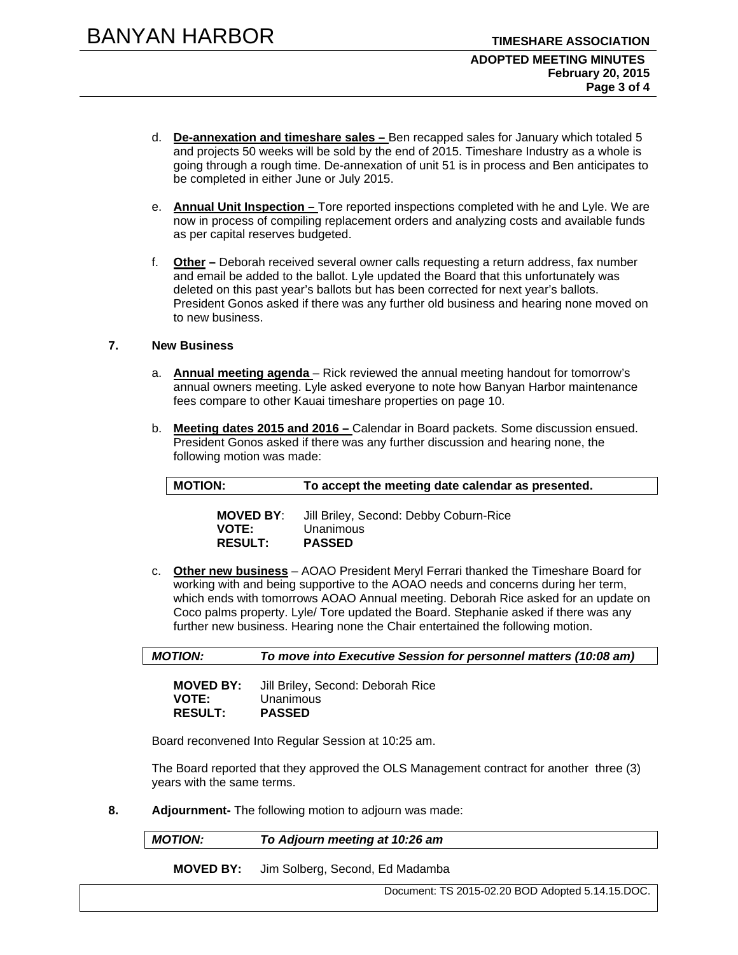- d. **De-annexation and timeshare sales** Ben recapped sales for January which totaled 5 and projects 50 weeks will be sold by the end of 2015. Timeshare Industry as a whole is going through a rough time. De-annexation of unit 51 is in process and Ben anticipates to be completed in either June or July 2015.
- e. **Annual Unit Inspection** Tore reported inspections completed with he and Lyle. We are now in process of compiling replacement orders and analyzing costs and available funds as per capital reserves budgeted.
- f. **Other –** Deborah received several owner calls requesting a return address, fax number and email be added to the ballot. Lyle updated the Board that this unfortunately was deleted on this past year's ballots but has been corrected for next year's ballots. President Gonos asked if there was any further old business and hearing none moved on to new business.

#### **7. New Business**

- a. **Annual meeting agenda**  Rick reviewed the annual meeting handout for tomorrow's annual owners meeting. Lyle asked everyone to note how Banyan Harbor maintenance fees compare to other Kauai timeshare properties on page 10.
- b. **Meeting dates 2015 and 2016** Calendar in Board packets. Some discussion ensued. President Gonos asked if there was any further discussion and hearing none, the following motion was made:

**MOVED BY**: Jill Briley, Second: Debby Coburn-Rice **VOTE:** Unanimous **RESULT:** 

c. **Other new business** – AOAO President Meryl Ferrari thanked the Timeshare Board for working with and being supportive to the AOAO needs and concerns during her term, which ends with tomorrows AOAO Annual meeting. Deborah Rice asked for an update on Coco palms property. Lyle/ Tore updated the Board. Stephanie asked if there was any further new business. Hearing none the Chair entertained the following motion.

*MOTION: To move into Executive Session for personnel matters (10:08 am)* 

**MOVED BY:** Jill Briley, Second: Deborah Rice **VOTE:** Unanimous **RESULT: PASSED** 

Board reconvened Into Regular Session at 10:25 am.

The Board reported that they approved the OLS Management contract for another three (3) years with the same terms.

**8. Adjournment-** The following motion to adjourn was made:

*MOTION: To Adjourn meeting at 10:26 am* 

**MOVED BY:** Jim Solberg, Second, Ed Madamba

Document: TS 2015-02.20 BOD Adopted 5.14.15.DOC.